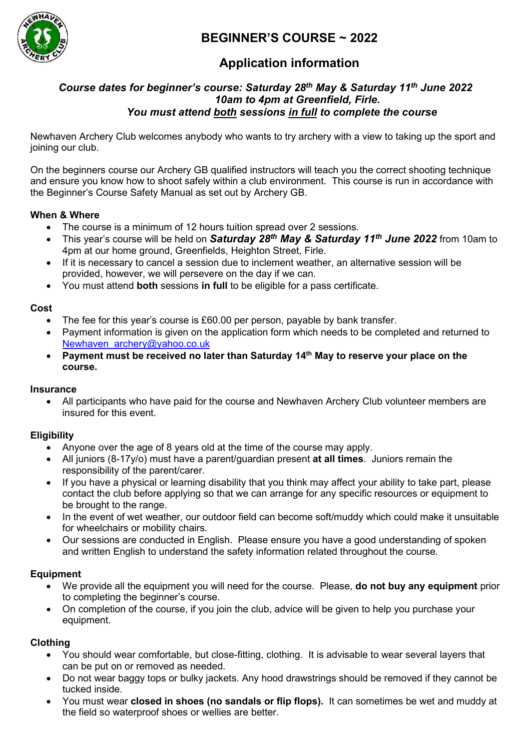

# **BEGINNER'S COURSE ~ 2022**

# **Application information**

## *Course dates for beginner's course: Saturday 28th May & Saturday 11th June 2022 10am to 4pm at Greenfield, Firle. You must attend both sessions in full to complete the course*

Newhaven Archery Club welcomes anybody who wants to try archery with a view to taking up the sport and joining our club.

On the beginners course our Archery GB qualified instructors will teach you the correct shooting technique and ensure you know how to shoot safely within a club environment. This course is run in accordance with the Beginner's Course Safety Manual as set out by Archery GB.

## **When & Where**

- The course is a minimum of 12 hours tuition spread over 2 sessions.
- This year's course will be held on *Saturday 28th May & Saturday 11th June 2022* from 10am to 4pm at our home ground, Greenfields, Heighton Street, Firle.
- If it is necessary to cancel a session due to inclement weather, an alternative session will be provided, however, we will persevere on the day if we can.
- You must attend **both** sessions **in full** to be eligible for a pass certificate.

### **Cost**

- The fee for this year's course is £60.00 per person, payable by bank transfer.
- Payment information is given on the application form which needs to be completed and returned to [Newhaven\\_archery@yahoo.co.uk](mailto:Newhaven_archery@yahoo.co.uk)
- **Payment must be received no later than Saturday 14th May to reserve your place on the course.**

#### **Insurance**

• All participants who have paid for the course and Newhaven Archery Club volunteer members are insured for this event.

## **Eligibility**

- Anyone over the age of 8 years old at the time of the course may apply.
- All juniors (8-17y/o) must have a parent/guardian present **at all times**. Juniors remain the responsibility of the parent/carer.
- If you have a physical or learning disability that you think may affect your ability to take part, please contact the club before applying so that we can arrange for any specific resources or equipment to be brought to the range.
- In the event of wet weather, our outdoor field can become soft/muddy which could make it unsuitable for wheelchairs or mobility chairs.
- Our sessions are conducted in English. Please ensure you have a good understanding of spoken and written English to understand the safety information related throughout the course.

## **Equipment**

- We provide all the equipment you will need for the course. Please, **do not buy any equipment** prior to completing the beginner's course.
- On completion of the course, if you join the club, advice will be given to help you purchase your equipment.

## **Clothing**

- You should wear comfortable, but close-fitting, clothing. It is advisable to wear several layers that can be put on or removed as needed.
- Do not wear baggy tops or bulky jackets. Any hood drawstrings should be removed if they cannot be tucked inside.
- You must wear **closed in shoes (no sandals or flip flops).** It can sometimes be wet and muddy at the field so waterproof shoes or wellies are better.